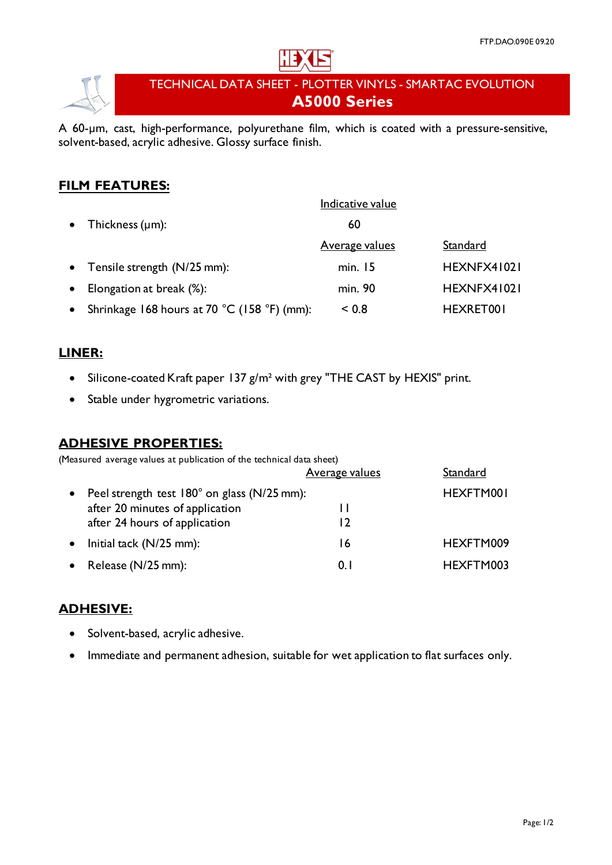



# TECHNICAL DATA SHEET - PLOTTER VINYLS - SMARTAC EVOLUTION **A5000 Series**

A 60-µm, cast, high-performance, polyurethane film, which is coated with a pressure-sensitive, solvent-based, acrylic adhesive. Glossy surface finish.

## **FILM FEATURES:**

|           |                                             | Indicative value |             |
|-----------|---------------------------------------------|------------------|-------------|
|           | • Thickness $(\mu m)$ :                     | 60               |             |
|           |                                             | Average values   | Standard    |
|           | • Tensile strength $(N/25$ mm):             | min. 15          | HEXNFX41021 |
| $\bullet$ | Elongation at break (%):                    | min. 90          | HEXNFX41021 |
| $\bullet$ | Shrinkage 168 hours at 70 °C (158 °F) (mm): | ${}_{0.8}$       | HEXRET001   |

## **LINER:**

- Silicone-coated Kraft paper 137 g/m² with grey "THE CAST by HEXIS" print.
- Stable under hygrometric variations.

## **ADHESIVE PROPERTIES:**

(Measured average values at publication of the technical data sheet)

|                                             | <b>Average values</b> | Standard  |
|---------------------------------------------|-----------------------|-----------|
| Peel strength test 180° on glass (N/25 mm): |                       | HEXFTM001 |
| after 20 minutes of application             |                       |           |
| after 24 hours of application               | רו                    |           |
| Initial tack $(N/25$ mm):                   | 16                    | HEXFTM009 |
| Release (N/25 mm):                          | 0. I                  | HEXFTM003 |

## **ADHESIVE:**

- Solvent-based, acrylic adhesive.
- Immediate and permanent adhesion, suitable for wet application to flat surfaces only.